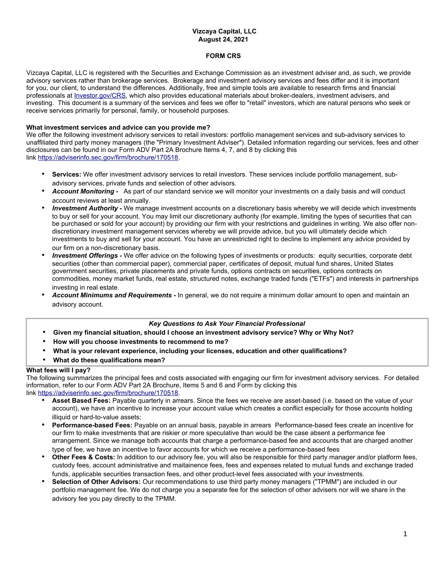## **Vizcaya Capital, LLC August 24, 2021**

## **FORM CRS**

Vizcaya Capital, LLC is registered with the Securities and Exchange Commission as an investment adviser and, as such, we provide advisory services rather than brokerage services. Brokerage and investment advisory services and fees differ and it is important for you, our client, to understand the differences. Additionally, free and simple tools are available to research firms and financial professionals at [Investor.gov/CRS](https://www.investor.gov/CRS), which also provides educational materials about broker-dealers, investment advisers, and investing. This document is a summary of the services and fees we offer to "retail" investors, which are natural persons who seek or receive services primarily for personal, family, or household purposes.

### **What investment services and advice can you provide me?**

We offer the following investment advisory services to retail investors: portfolio management services and sub-advisory services to unaffiliated third party money managers (the "Primary Investment Adviser"). Detailed information regarding our services, fees and other disclosures can be found in our Form ADV Part 2A Brochure Items 4, 7, and 8 by clicking this link https://adviserinfo.sec.gov/firm/brochure/170518.

- **Services:** We offer investment advisory services to retail investors. These services include portfolio management, subadvisory services, private funds and selection of other advisors.
- *Account Monitoring -* As part of our standard service we will monitor your investments on a daily basis and will conduct account reviews at least annually.
- *Investment Authority -* We manage investment accounts on a discretionary basis whereby we will decide which investments to buy or sell for your account. You may limit our discretionary authority (for example, limiting the types of securities that can be purchased or sold for your account) by providing our firm with your restrictions and guidelines in writing. We also offer nondiscretionary investment management services whereby we will provide advice, but you will ultimately decide which investments to buy and sell for your account. You have an unrestricted right to decline to implement any advice provided by our firm on a non-discretionary basis.
- *Investment Offerings -* We offer advice on the following types of investments or products: equity securities, corporate debt securities (other than commercial paper), commercial paper, certificates of deposit, mutual fund shares, United States government securities, private placements and private funds, options contracts on securities, options contracts on commodities, money market funds, real estate, structured notes, exchange traded funds ("ETFs") and interests in partnerships investing in real estate.
- *Account Minimums and Requirements -* In general, we do not require a minimum dollar amount to open and maintain an advisory account.

# *Key Questions to Ask Your Financial Professional*

- **Given my financial situation, should I choose an investment advisory service? Why or Why Not?**
- **How will you choose investments to recommend to me?**
- **What is your relevant experience, including your licenses, education and other qualifications?**
- **What do these qualifications mean?**

### **What fees will I pay?**

The following summarizes the principal fees and costs associated with engaging our firm for investment advisory services. For detailed information, refer to our Form ADV Part 2A Brochure, Items 5 and 6 and Form by clicking this

link https://adviserinfo.sec.gov/firm/brochure/170518.

- **Asset Based Fees:** Payable quarterly in arrears. Since the fees we receive are asset-based (i.e. based on the value of your account), we have an incentive to increase your account value which creates a conflict especially for those accounts holding illiquid or hard-to-value assets;
- **Performance-based Fees:** Payable on an annual basis, payable in arrears Performance-based fees create an incentive for our firm to make investments that are riskier or more speculative than would be the case absent a performance fee arrangement. Since we manage both accounts that charge a performance-based fee and accounts that are charged another type of fee, we have an incentive to favor accounts for which we receive a performance-based fees
- **Other Fees & Costs:** In addition to our advisory fee, you will also be responsible for third party manager and/or platform fees, custody fees, account administrative and maitainence fees, fees and expenses related to mutual funds and exchange traded funds, applicable securities transaction fees, and other product-level fees associated with your investments.
- **Selection of Other Advisors:** Our recommendations to use third party money managers ("TPMM") are included in our portfolio management fee. We do not charge you a separate fee for the selection of other advisers nor will we share in the advisory fee you pay directly to the TPMM.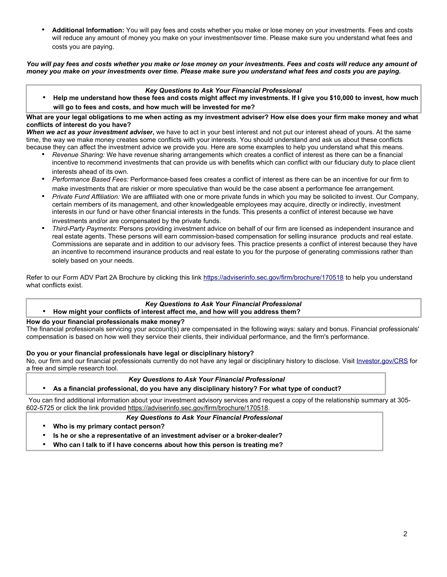• **Additional Information:** You will pay fees and costs whether you make or lose money on your investments. Fees and costs will reduce any amount of money you make on your investmentsover time. Please make sure you understand what fees and costs you are paying.

*You will pay fees and costs whether you make or lose money on your investments. Fees and costs will reduce any amount of money you make on your investments over time. Please make sure you understand what fees and costs you are paying.*

### *Key Questions to Ask Your Financial Professional*

• **Help me understand how these fees and costs might affect my investments. If I give you \$10,000 to invest, how much will go to fees and costs, and how much will be invested for me?**

### **What are your legal obligations to me when acting as my investment adviser? How else does your firm make money and what conflicts of interest do you have?**

*When we act as your investment adviser***,** we have to act in your best interest and not put our interest ahead of yours. At the same time, the way we make money creates some conflicts with your interests. You should understand and ask us about these conflicts because they can affect the investment advice we provide you. Here are some examples to help you understand what this means.

- *Revenue Sharing:* We have revenue sharing arrangements which creates a conflict of interest as there can be a financial incentive to recommend investments that can provide us with benefits which can conflict with our fiduciary duty to place client interests ahead of its own.
- *Performance Based Fees:* Performance-based fees creates a conflict of interest as there can be an incentive for our firm to make investments that are riskier or more speculative than would be the case absent a performance fee arrangement.
- *Private Fund Affiliation:* We are affiliated with one or more private funds in which you may be solicited to invest. Our Company, certain members of its management, and other knowledgeable employees may acquire, directly or indirectly, investment interests in our fund or have other financial interests in the funds. This presents a conflict of interest because we have investments and/or are compensated by the private funds.
- *Third-Party Payments*: Persons providing investment advice on behalf of our firm are licensed as independent insurance and real estate agents. These persons will earn commission-based compensation for selling insurance products and real estate. Commissions are separate and in addition to our advisory fees. This practice presents a conflict of interest because they have an incentive to recommend insurance products and real estate to you for the purpose of generating commissions rather than solely based on your needs.

Refer to our Form ADV Part 2A Brochure by clicking this link https://adviserinfo.sec.gov/firm/brochure/170518 to help you understand what conflicts exist.

#### *Key Questions to Ask Your Financial Professional* • **How might your conflicts of interest affect me, and how will you address them?**

## **How do your financial professionals make money?**

The financial professionals servicing your account(s) are compensated in the following ways: salary and bonus. Financial professionals' compensation is based on how well they service their clients, their individual performance, and the firm's performance.

## **Do you or your financial professionals have legal or disciplinary history?**

No, our firm and our financial professionals currently do not have any legal or disciplinary history to disclose. Visit [Investor.gov/CRS](https://www.investor.gov/CRS) for a free and simple research tool.

## *Key Questions to Ask Your Financial Professional*

• **As a financial professional, do you have any disciplinary history? For what type of conduct?**

You can find additional information about your investment advisory services and request a copy of the relationship summary at 305- 602-5725 or click the link provided https://adviserinfo.sec.gov/firm/brochure/170518.

### *Key Questions to Ask Your Financial Professional*

- **Who is my primary contact person?**
- **Is he or she a representative of an investment adviser or a broker-dealer?**
- **Who can I talk to if I have concerns about how this person is treating me?**